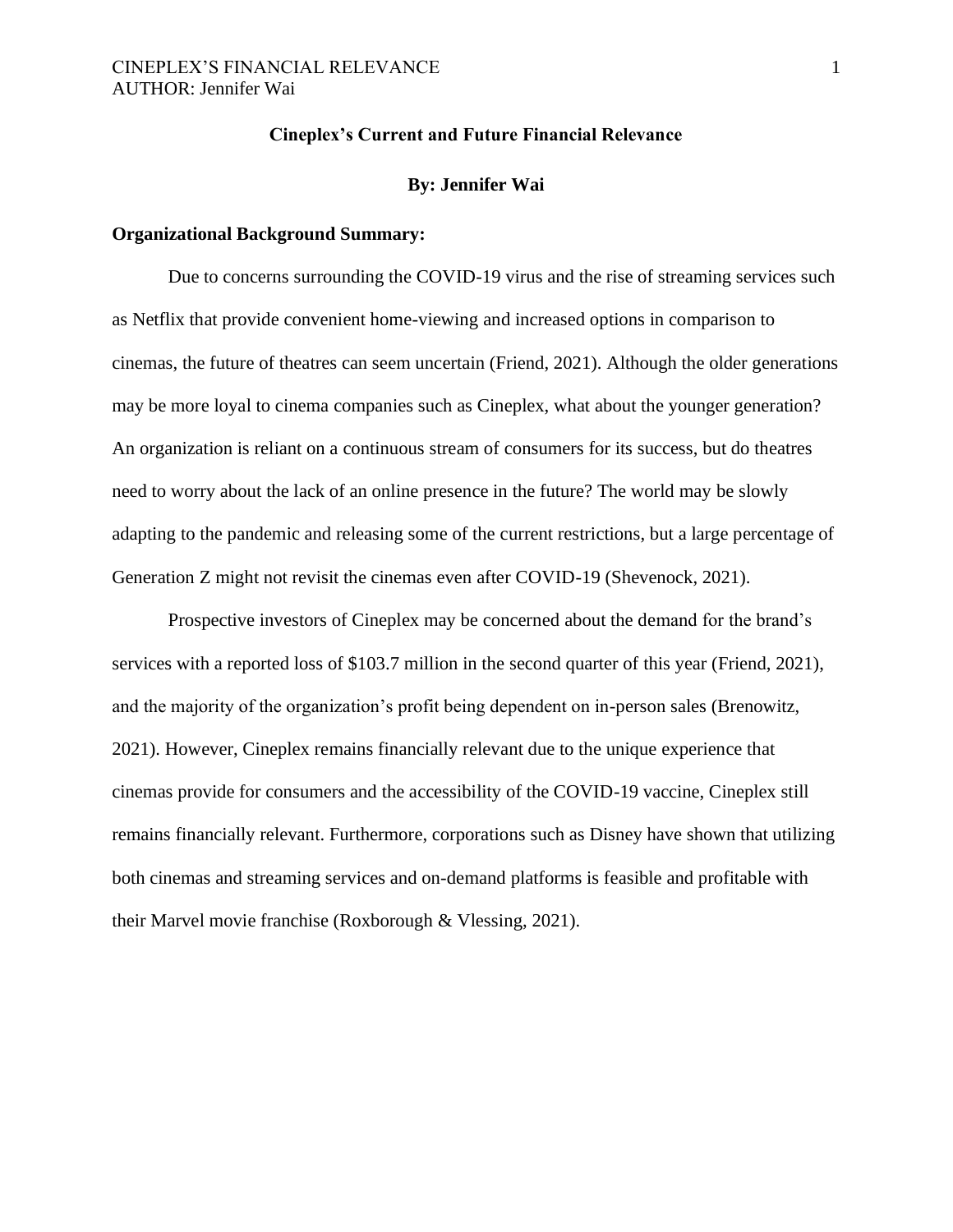#### **Cineplex's Current and Future Financial Relevance**

#### **By: Jennifer Wai**

#### **Organizational Background Summary:**

Due to concerns surrounding the COVID-19 virus and the rise of streaming services such as Netflix that provide convenient home-viewing and increased options in comparison to cinemas, the future of theatres can seem uncertain (Friend, 2021). Although the older generations may be more loyal to cinema companies such as Cineplex, what about the younger generation? An organization is reliant on a continuous stream of consumers for its success, but do theatres need to worry about the lack of an online presence in the future? The world may be slowly adapting to the pandemic and releasing some of the current restrictions, but a large percentage of Generation Z might not revisit the cinemas even after COVID-19 (Shevenock, 2021).

Prospective investors of Cineplex may be concerned about the demand for the brand's services with a reported loss of \$103.7 million in the second quarter of this year (Friend, 2021), and the majority of the organization's profit being dependent on in-person sales (Brenowitz, 2021). However, Cineplex remains financially relevant due to the unique experience that cinemas provide for consumers and the accessibility of the COVID-19 vaccine, Cineplex still remains financially relevant. Furthermore, corporations such as Disney have shown that utilizing both cinemas and streaming services and on-demand platforms is feasible and profitable with their Marvel movie franchise (Roxborough & Vlessing, 2021).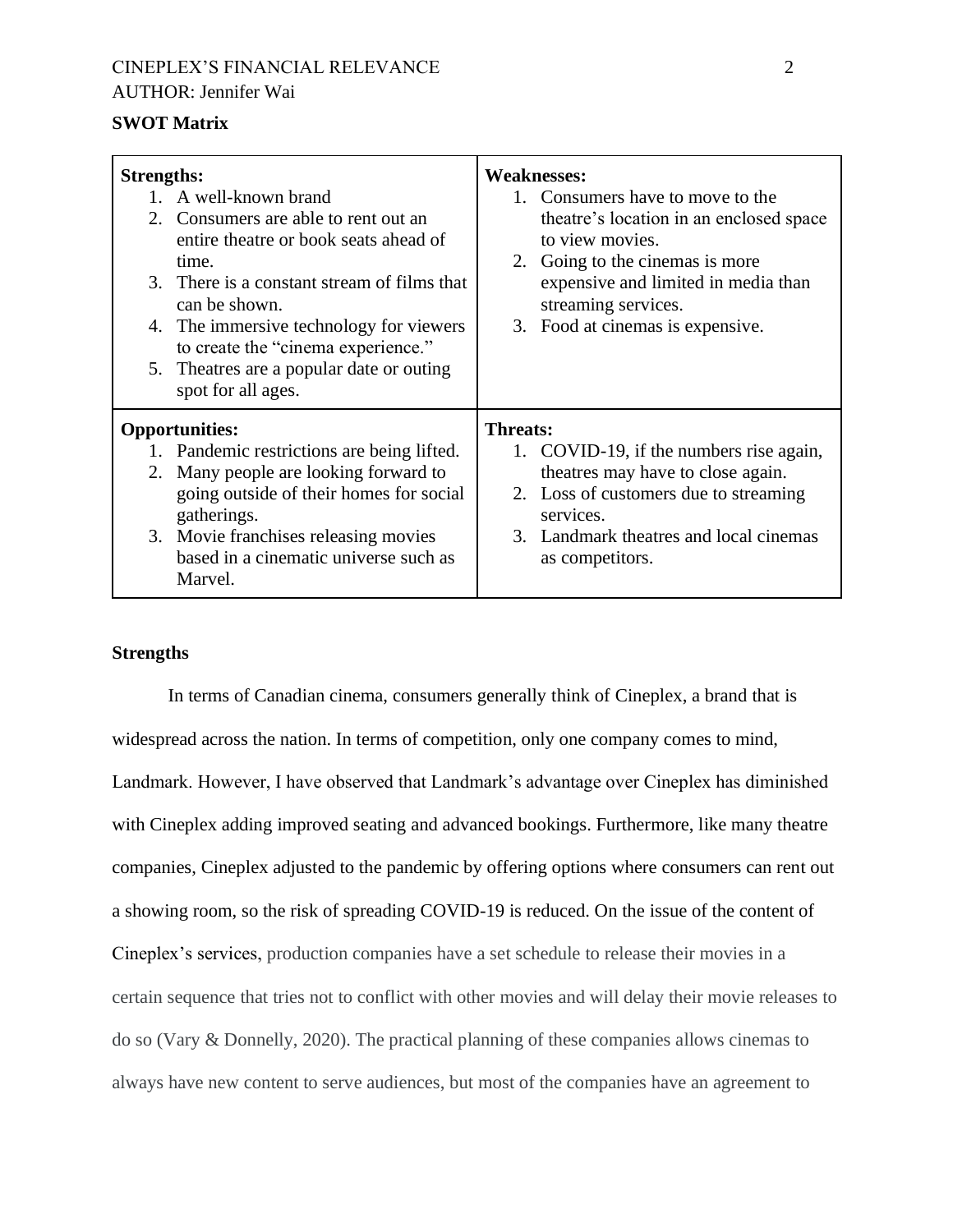# CINEPLEX'S FINANCIAL RELEVANCE 2 AUTHOR: Jennifer Wai

## **SWOT Matrix**

| <b>Strengths:</b> | 1. A well-known brand<br>2. Consumers are able to rent out an<br>entire theatre or book seats ahead of<br>time.<br>3. There is a constant stream of films that<br>can be shown.<br>4. The immersive technology for viewers<br>to create the "cinema experience." | <b>Weaknesses:</b><br>1. Consumers have to move to the<br>theatre's location in an enclosed space<br>to view movies.<br>2. Going to the cinemas is more<br>expensive and limited in media than<br>streaming services.<br>3. Food at cinemas is expensive. |  |
|-------------------|------------------------------------------------------------------------------------------------------------------------------------------------------------------------------------------------------------------------------------------------------------------|-----------------------------------------------------------------------------------------------------------------------------------------------------------------------------------------------------------------------------------------------------------|--|
|                   | 5. The atres are a popular date or outing<br>spot for all ages.                                                                                                                                                                                                  |                                                                                                                                                                                                                                                           |  |
| 2.                | <b>Opportunities:</b><br>1. Pandemic restrictions are being lifted.<br>Many people are looking forward to<br>going outside of their homes for social<br>gatherings.<br>3. Movie franchises releasing movies<br>based in a cinematic universe such as<br>Marvel.  | <b>Threats:</b><br>1. COVID-19, if the numbers rise again,<br>theatres may have to close again.<br>2. Loss of customers due to streaming<br>services.<br>3. Landmark theatres and local cinemas<br>as competitors.                                        |  |

#### **Strengths**

In terms of Canadian cinema, consumers generally think of Cineplex, a brand that is widespread across the nation. In terms of competition, only one company comes to mind, Landmark. However, I have observed that Landmark's advantage over Cineplex has diminished with Cineplex adding improved seating and advanced bookings. Furthermore, like many theatre companies, Cineplex adjusted to the pandemic by offering options where consumers can rent out a showing room, so the risk of spreading COVID-19 is reduced. On the issue of the content of Cineplex's services, production companies have a set schedule to release their movies in a certain sequence that tries not to conflict with other movies and will delay their movie releases to do so (Vary & Donnelly, 2020). The practical planning of these companies allows cinemas to always have new content to serve audiences, but most of the companies have an agreement to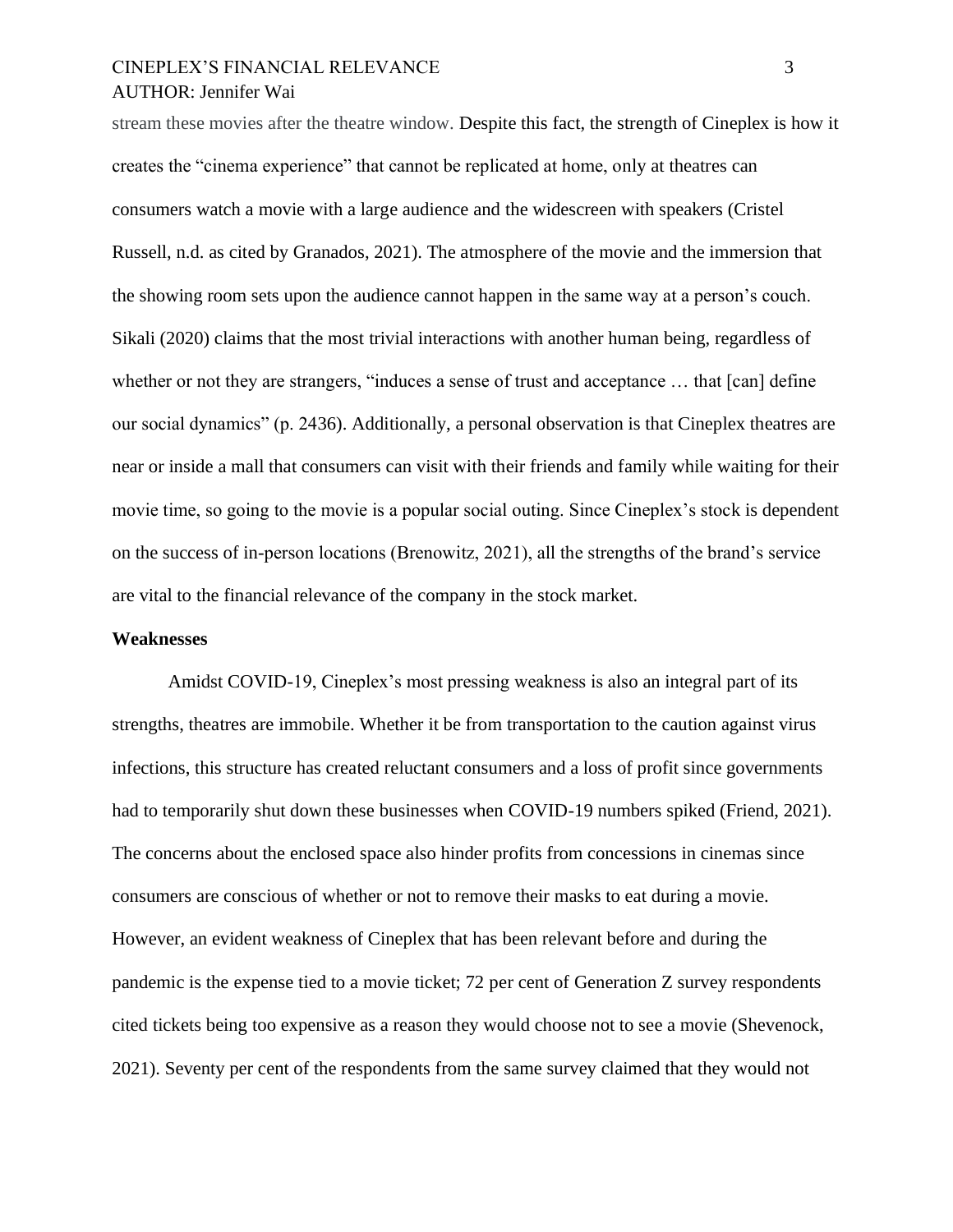# CINEPLEX'S FINANCIAL RELEVANCE 3 AUTHOR: Jennifer Wai

stream these movies after the theatre window. Despite this fact, the strength of Cineplex is how it creates the "cinema experience" that cannot be replicated at home, only at theatres can consumers watch a movie with a large audience and the widescreen with speakers (Cristel Russell, n.d. as cited by Granados, 2021). The atmosphere of the movie and the immersion that the showing room sets upon the audience cannot happen in the same way at a person's couch. Sikali (2020) claims that the most trivial interactions with another human being, regardless of whether or not they are strangers, "induces a sense of trust and acceptance ... that [can] define our social dynamics" (p. 2436). Additionally, a personal observation is that Cineplex theatres are near or inside a mall that consumers can visit with their friends and family while waiting for their movie time, so going to the movie is a popular social outing. Since Cineplex's stock is dependent on the success of in-person locations (Brenowitz, 2021), all the strengths of the brand's service are vital to the financial relevance of the company in the stock market.

#### **Weaknesses**

Amidst COVID-19, Cineplex's most pressing weakness is also an integral part of its strengths, theatres are immobile. Whether it be from transportation to the caution against virus infections, this structure has created reluctant consumers and a loss of profit since governments had to temporarily shut down these businesses when COVID-19 numbers spiked (Friend, 2021). The concerns about the enclosed space also hinder profits from concessions in cinemas since consumers are conscious of whether or not to remove their masks to eat during a movie. However, an evident weakness of Cineplex that has been relevant before and during the pandemic is the expense tied to a movie ticket; 72 per cent of Generation Z survey respondents cited tickets being too expensive as a reason they would choose not to see a movie (Shevenock, 2021). Seventy per cent of the respondents from the same survey claimed that they would not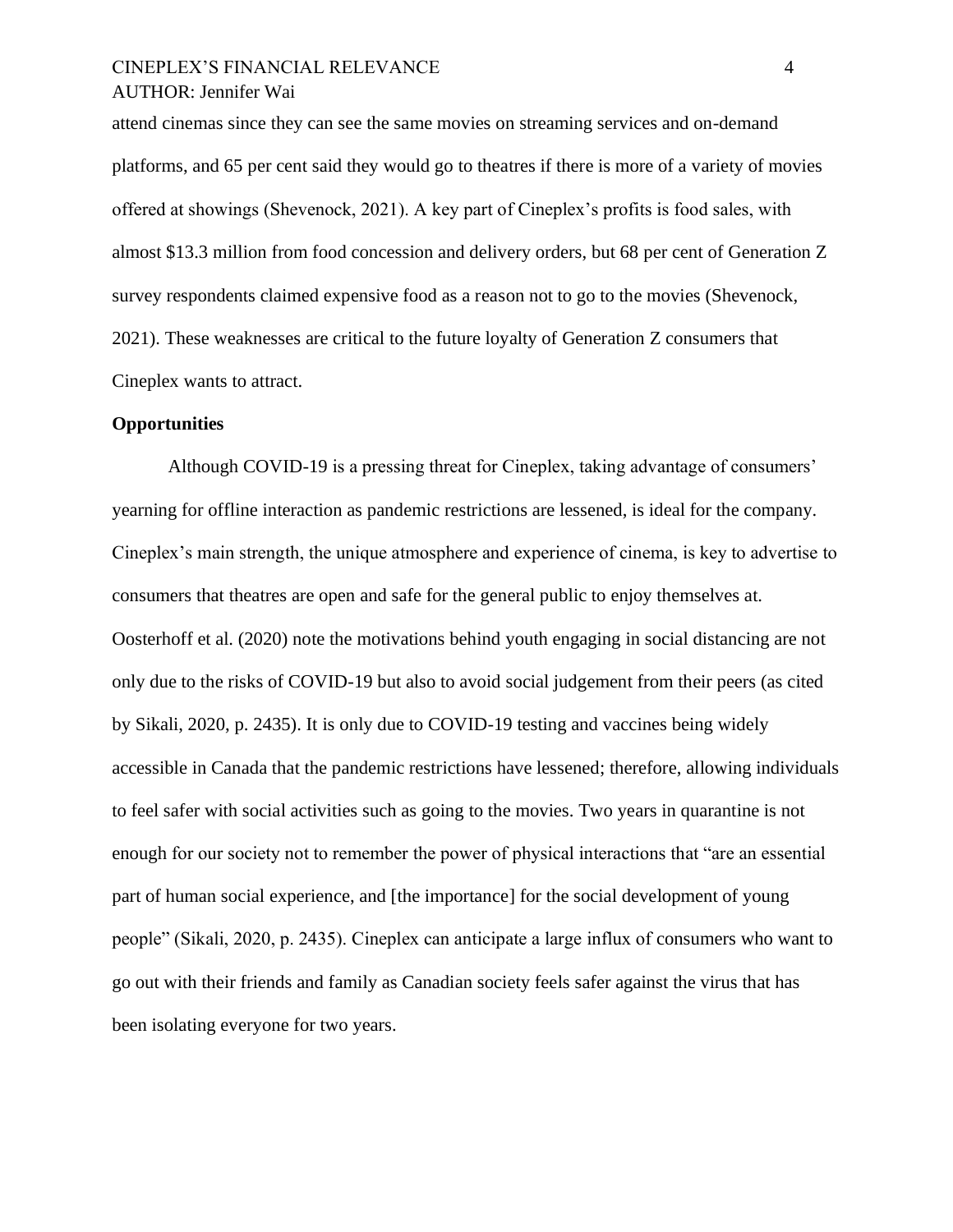# CINEPLEX'S FINANCIAL RELEVANCE 4 AUTHOR: Jennifer Wai

attend cinemas since they can see the same movies on streaming services and on-demand platforms, and 65 per cent said they would go to theatres if there is more of a variety of movies offered at showings (Shevenock, 2021). A key part of Cineplex's profits is food sales, with almost \$13.3 million from food concession and delivery orders, but 68 per cent of Generation Z survey respondents claimed expensive food as a reason not to go to the movies (Shevenock, 2021). These weaknesses are critical to the future loyalty of Generation Z consumers that Cineplex wants to attract.

#### **Opportunities**

Although COVID-19 is a pressing threat for Cineplex, taking advantage of consumers' yearning for offline interaction as pandemic restrictions are lessened, is ideal for the company. Cineplex's main strength, the unique atmosphere and experience of cinema, is key to advertise to consumers that theatres are open and safe for the general public to enjoy themselves at. Oosterhoff et al. (2020) note the motivations behind youth engaging in social distancing are not only due to the risks of COVID-19 but also to avoid social judgement from their peers (as cited by Sikali, 2020, p. 2435). It is only due to COVID-19 testing and vaccines being widely accessible in Canada that the pandemic restrictions have lessened; therefore, allowing individuals to feel safer with social activities such as going to the movies. Two years in quarantine is not enough for our society not to remember the power of physical interactions that "are an essential part of human social experience, and [the importance] for the social development of young people" (Sikali, 2020, p. 2435). Cineplex can anticipate a large influx of consumers who want to go out with their friends and family as Canadian society feels safer against the virus that has been isolating everyone for two years.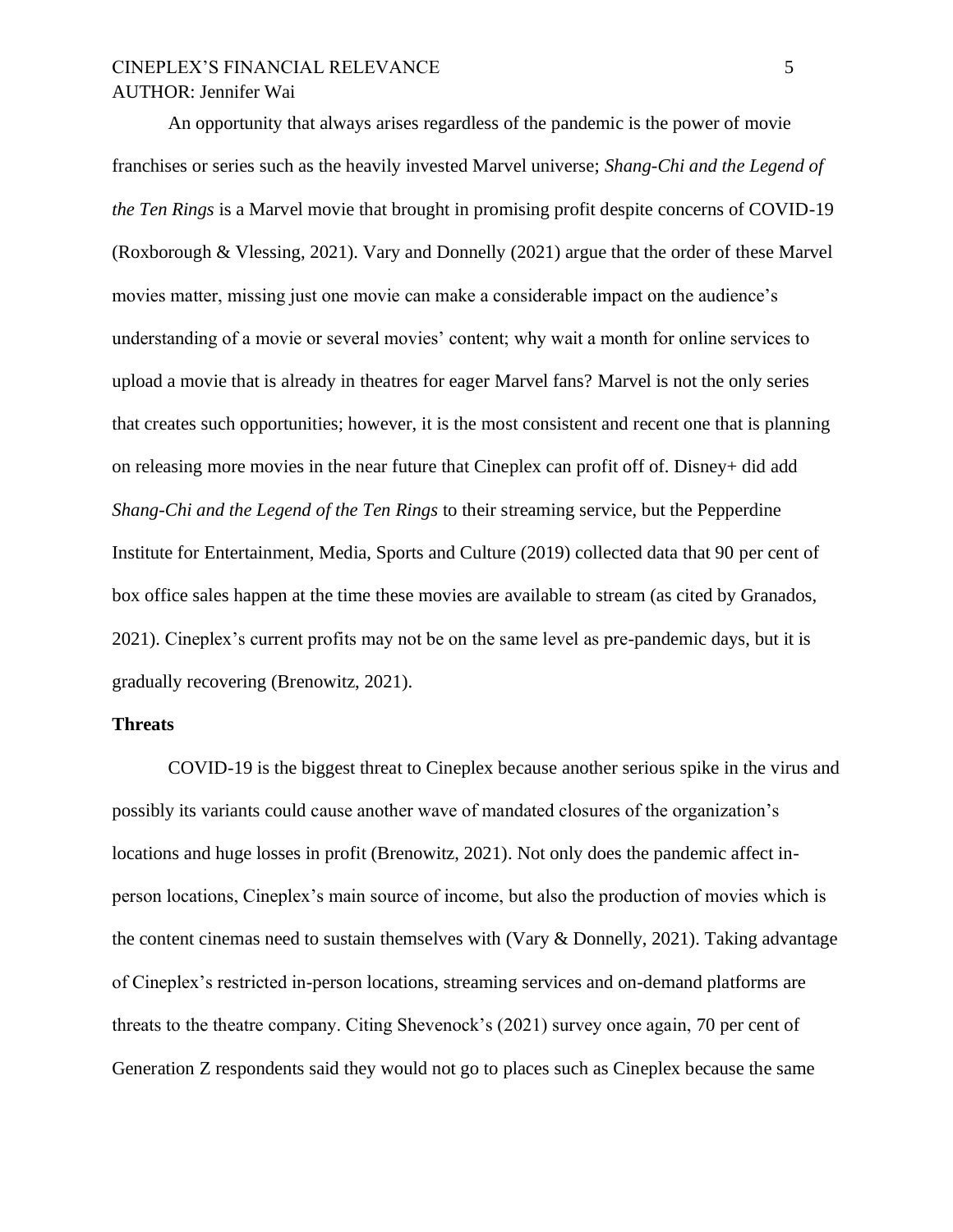# CINEPLEX'S FINANCIAL RELEVANCE 5 AUTHOR: Jennifer Wai

An opportunity that always arises regardless of the pandemic is the power of movie franchises or series such as the heavily invested Marvel universe; *Shang-Chi and the Legend of the Ten Rings* is a Marvel movie that brought in promising profit despite concerns of COVID-19 (Roxborough & Vlessing, 2021). Vary and Donnelly (2021) argue that the order of these Marvel movies matter, missing just one movie can make a considerable impact on the audience's understanding of a movie or several movies' content; why wait a month for online services to upload a movie that is already in theatres for eager Marvel fans? Marvel is not the only series that creates such opportunities; however, it is the most consistent and recent one that is planning on releasing more movies in the near future that Cineplex can profit off of. Disney+ did add *Shang-Chi and the Legend of the Ten Rings* to their streaming service, but the Pepperdine Institute for Entertainment, Media, Sports and Culture (2019) collected data that 90 per cent of box office sales happen at the time these movies are available to stream (as cited by Granados, 2021). Cineplex's current profits may not be on the same level as pre-pandemic days, but it is gradually recovering (Brenowitz, 2021).

#### **Threats**

COVID-19 is the biggest threat to Cineplex because another serious spike in the virus and possibly its variants could cause another wave of mandated closures of the organization's locations and huge losses in profit (Brenowitz, 2021). Not only does the pandemic affect inperson locations, Cineplex's main source of income, but also the production of movies which is the content cinemas need to sustain themselves with (Vary & Donnelly, 2021). Taking advantage of Cineplex's restricted in-person locations, streaming services and on-demand platforms are threats to the theatre company. Citing Shevenock's (2021) survey once again, 70 per cent of Generation Z respondents said they would not go to places such as Cineplex because the same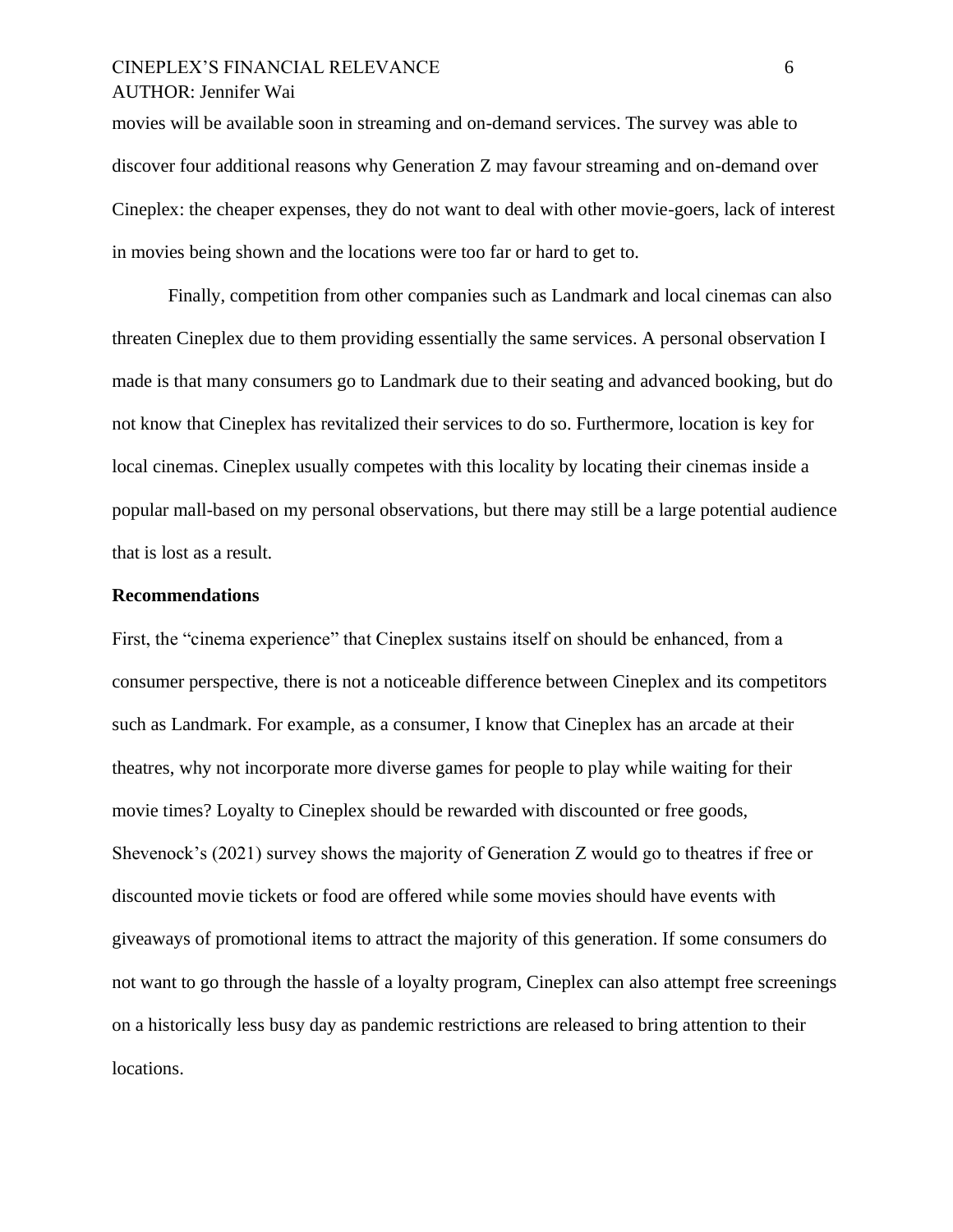# CINEPLEX'S FINANCIAL RELEVANCE 6 AUTHOR: Jennifer Wai

movies will be available soon in streaming and on-demand services. The survey was able to discover four additional reasons why Generation Z may favour streaming and on-demand over Cineplex: the cheaper expenses, they do not want to deal with other movie-goers, lack of interest in movies being shown and the locations were too far or hard to get to.

Finally, competition from other companies such as Landmark and local cinemas can also threaten Cineplex due to them providing essentially the same services. A personal observation I made is that many consumers go to Landmark due to their seating and advanced booking, but do not know that Cineplex has revitalized their services to do so. Furthermore, location is key for local cinemas. Cineplex usually competes with this locality by locating their cinemas inside a popular mall-based on my personal observations, but there may still be a large potential audience that is lost as a result.

#### **Recommendations**

First, the "cinema experience" that Cineplex sustains itself on should be enhanced, from a consumer perspective, there is not a noticeable difference between Cineplex and its competitors such as Landmark. For example, as a consumer, I know that Cineplex has an arcade at their theatres, why not incorporate more diverse games for people to play while waiting for their movie times? Loyalty to Cineplex should be rewarded with discounted or free goods, Shevenock's (2021) survey shows the majority of Generation Z would go to theatres if free or discounted movie tickets or food are offered while some movies should have events with giveaways of promotional items to attract the majority of this generation. If some consumers do not want to go through the hassle of a loyalty program, Cineplex can also attempt free screenings on a historically less busy day as pandemic restrictions are released to bring attention to their locations.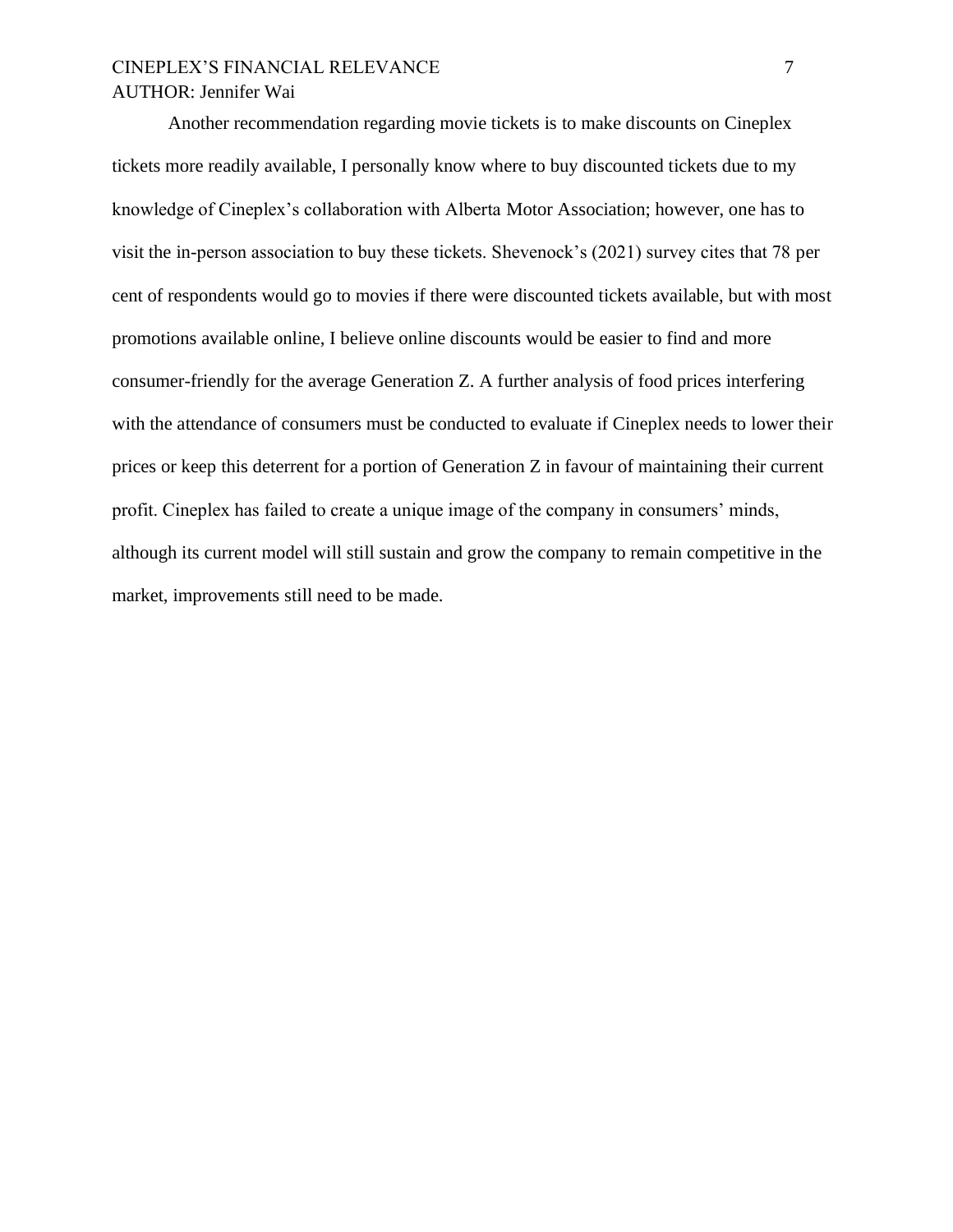# CINEPLEX'S FINANCIAL RELEVANCE 7 AUTHOR: Jennifer Wai

Another recommendation regarding movie tickets is to make discounts on Cineplex tickets more readily available, I personally know where to buy discounted tickets due to my knowledge of Cineplex's collaboration with Alberta Motor Association; however, one has to visit the in-person association to buy these tickets. Shevenock's (2021) survey cites that 78 per cent of respondents would go to movies if there were discounted tickets available, but with most promotions available online, I believe online discounts would be easier to find and more consumer-friendly for the average Generation Z. A further analysis of food prices interfering with the attendance of consumers must be conducted to evaluate if Cineplex needs to lower their prices or keep this deterrent for a portion of Generation Z in favour of maintaining their current profit. Cineplex has failed to create a unique image of the company in consumers' minds, although its current model will still sustain and grow the company to remain competitive in the market, improvements still need to be made.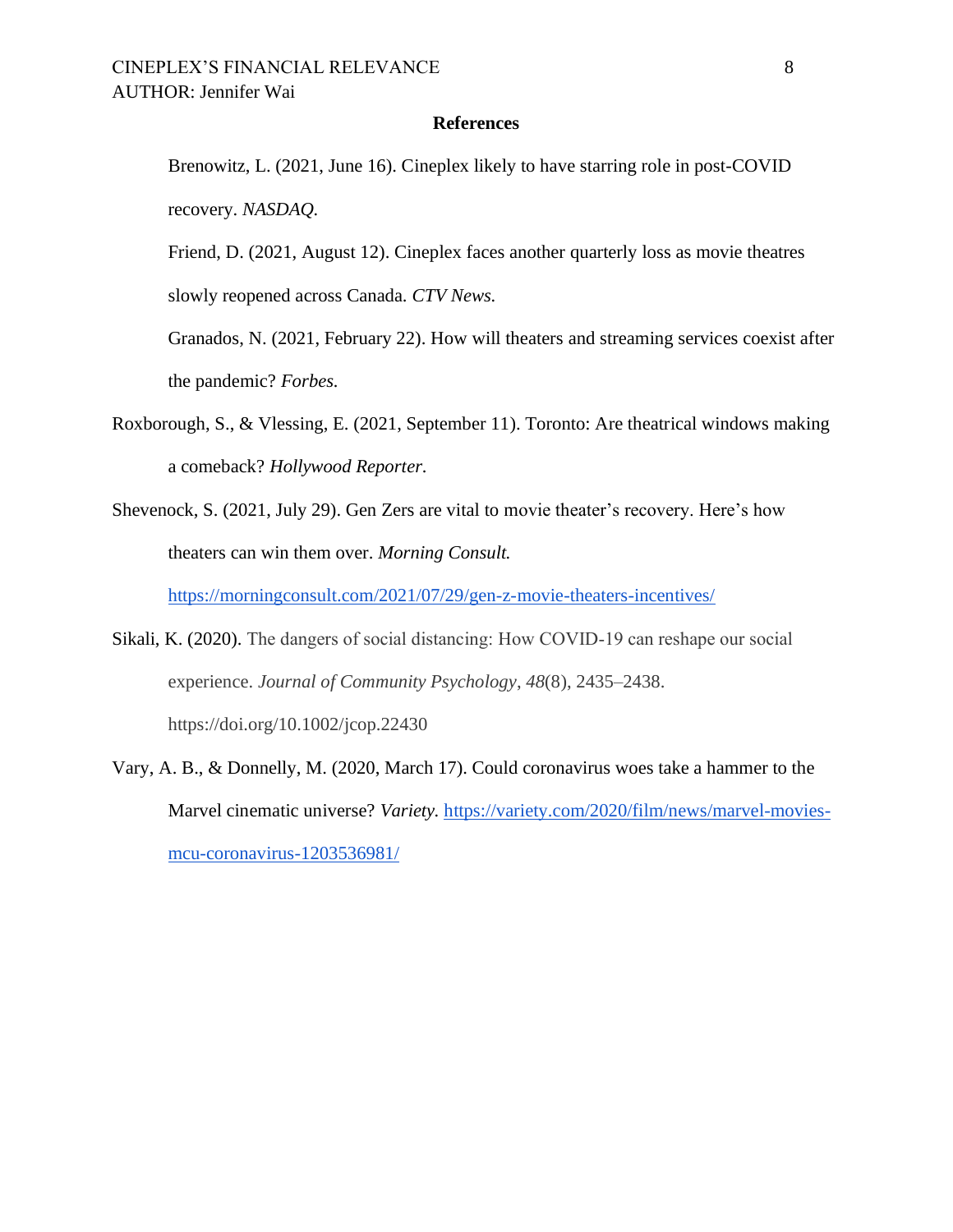#### **References**

Brenowitz, L. (2021, June 16). Cineplex likely to have starring role in post-COVID recovery. *NASDAQ.* 

Friend, D. (2021, August 12). Cineplex faces another quarterly loss as movie theatres

slowly reopened across Canada. *CTV News.* 

Granados, N. (2021, February 22). How will theaters and streaming services coexist after the pandemic? *Forbes.* 

- Roxborough, S., & Vlessing, E. (2021, September 11). Toronto: Are theatrical windows making a comeback? *Hollywood Reporter.*
- Shevenock, S. (2021, July 29). Gen Zers are vital to movie theater's recovery. Here's how theaters can win them over. *Morning Consult.*

<https://morningconsult.com/2021/07/29/gen-z-movie-theaters-incentives/>

- Sikali, K. (2020). The dangers of social distancing: How COVID‐19 can reshape our social experience. *Journal of Community Psychology*, *48*(8), 2435–2438. https://doi.org/10.1002/jcop.22430
- Vary, A. B., & Donnelly, M. (2020, March 17). Could coronavirus woes take a hammer to the Marvel cinematic universe? *Variety.* [https://variety.com/2020/film/news/marvel-movies](https://variety.com/2020/film/news/marvel-movies-mcu-coronavirus-1203536981/)[mcu-coronavirus-1203536981/](https://variety.com/2020/film/news/marvel-movies-mcu-coronavirus-1203536981/)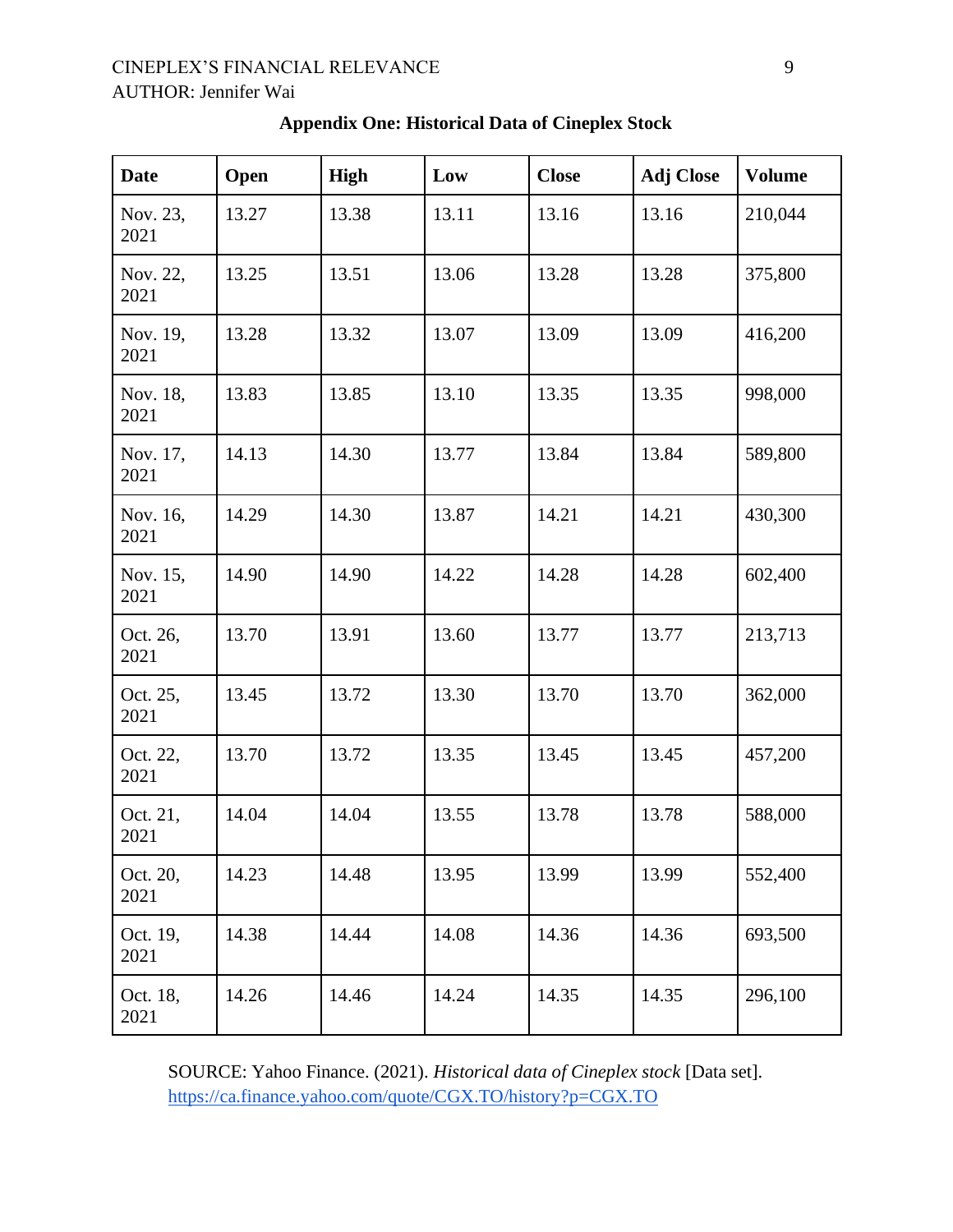# CINEPLEX'S FINANCIAL RELEVANCE 9 AUTHOR: Jennifer Wai

| <b>Date</b>      | Open  | <b>High</b> | Low   | <b>Close</b> | <b>Adj Close</b> | <b>Volume</b> |
|------------------|-------|-------------|-------|--------------|------------------|---------------|
| Nov. 23,<br>2021 | 13.27 | 13.38       | 13.11 | 13.16        | 13.16            | 210,044       |
| Nov. 22,<br>2021 | 13.25 | 13.51       | 13.06 | 13.28        | 13.28            | 375,800       |
| Nov. 19,<br>2021 | 13.28 | 13.32       | 13.07 | 13.09        | 13.09            | 416,200       |
| Nov. 18,<br>2021 | 13.83 | 13.85       | 13.10 | 13.35        | 13.35            | 998,000       |
| Nov. 17,<br>2021 | 14.13 | 14.30       | 13.77 | 13.84        | 13.84            | 589,800       |
| Nov. 16,<br>2021 | 14.29 | 14.30       | 13.87 | 14.21        | 14.21            | 430,300       |
| Nov. 15,<br>2021 | 14.90 | 14.90       | 14.22 | 14.28        | 14.28            | 602,400       |
| Oct. 26,<br>2021 | 13.70 | 13.91       | 13.60 | 13.77        | 13.77            | 213,713       |
| Oct. 25,<br>2021 | 13.45 | 13.72       | 13.30 | 13.70        | 13.70            | 362,000       |
| Oct. 22,<br>2021 | 13.70 | 13.72       | 13.35 | 13.45        | 13.45            | 457,200       |
| Oct. 21,<br>2021 | 14.04 | 14.04       | 13.55 | 13.78        | 13.78            | 588,000       |
| Oct. 20,<br>2021 | 14.23 | 14.48       | 13.95 | 13.99        | 13.99            | 552,400       |
| Oct. 19,<br>2021 | 14.38 | 14.44       | 14.08 | 14.36        | 14.36            | 693,500       |
| Oct. 18,<br>2021 | 14.26 | 14.46       | 14.24 | 14.35        | 14.35            | 296,100       |

# **Appendix One: Historical Data of Cineplex Stock**

SOURCE: Yahoo Finance. (2021). *Historical data of Cineplex stock* [Data set]. <https://ca.finance.yahoo.com/quote/CGX.TO/history?p=CGX.TO>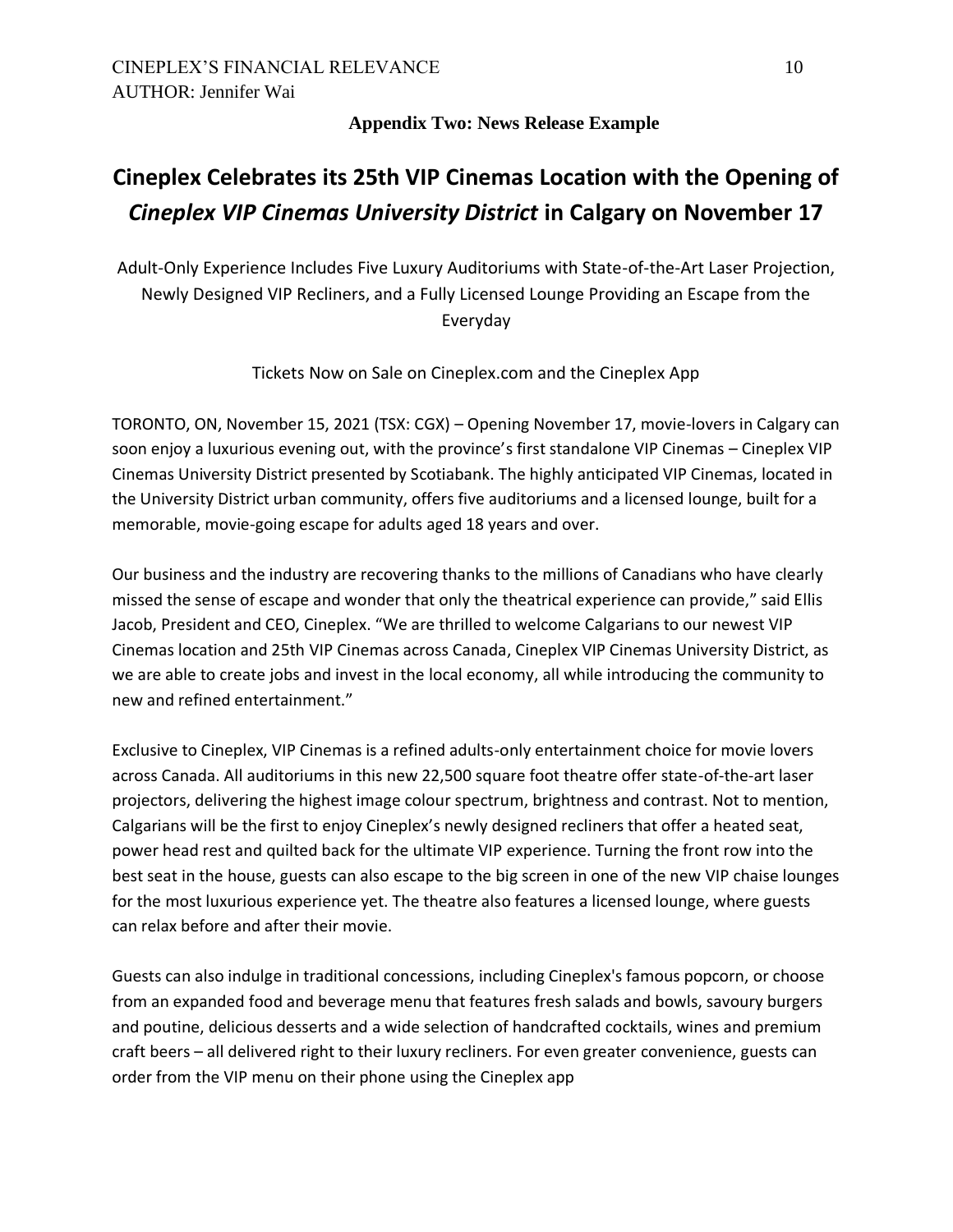# **Appendix Two: News Release Example**

# **Cineplex Celebrates its 25th VIP Cinemas Location with the Opening of**  *Cineplex VIP Cinemas University District* **in Calgary on November 17**

Adult-Only Experience Includes Five Luxury Auditoriums with State-of-the-Art Laser Projection, Newly Designed VIP Recliners, and a Fully Licensed Lounge Providing an Escape from the Everyday

Tickets Now on Sale on Cineplex.com and the Cineplex App

TORONTO, ON, November 15, 2021 (TSX: CGX) – Opening November 17, movie-lovers in Calgary can soon enjoy a luxurious evening out, with the province's first standalone VIP Cinemas – Cineplex VIP Cinemas University District presented by Scotiabank. The highly anticipated VIP Cinemas, located in the University District urban community, offers five auditoriums and a licensed lounge, built for a memorable, movie-going escape for adults aged 18 years and over.

Our business and the industry are recovering thanks to the millions of Canadians who have clearly missed the sense of escape and wonder that only the theatrical experience can provide," said Ellis Jacob, President and CEO, Cineplex. "We are thrilled to welcome Calgarians to our newest VIP Cinemas location and 25th VIP Cinemas across Canada, Cineplex VIP Cinemas University District, as we are able to create jobs and invest in the local economy, all while introducing the community to new and refined entertainment."

Exclusive to Cineplex, VIP Cinemas is a refined adults-only entertainment choice for movie lovers across Canada. All auditoriums in this new 22,500 square foot theatre offer state-of-the-art laser projectors, delivering the highest image colour spectrum, brightness and contrast. Not to mention, Calgarians will be the first to enjoy Cineplex's newly designed recliners that offer a heated seat, power head rest and quilted back for the ultimate VIP experience. Turning the front row into the best seat in the house, guests can also escape to the big screen in one of the new VIP chaise lounges for the most luxurious experience yet. The theatre also features a licensed lounge, where guests can relax before and after their movie.

Guests can also indulge in traditional concessions, including Cineplex's famous popcorn, or choose from an expanded food and beverage menu that features fresh salads and bowls, savoury burgers and poutine, delicious desserts and a wide selection of handcrafted cocktails, wines and premium craft beers – all delivered right to their luxury recliners. For even greater convenience, guests can order from the VIP menu on their phone using the Cineplex app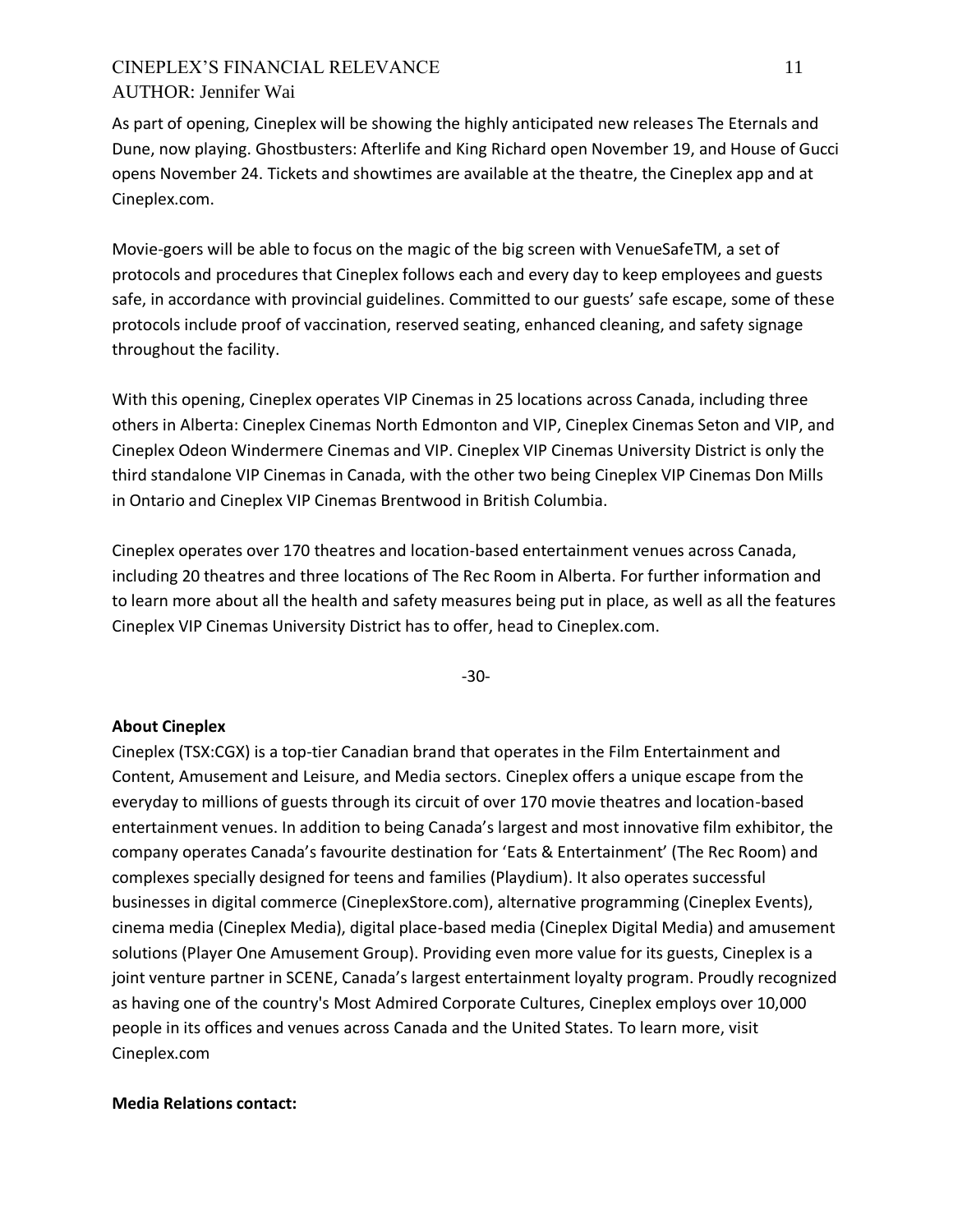# CINEPLEX'S FINANCIAL RELEVANCE 11 AUTHOR: Jennifer Wai

As part of opening, Cineplex will be showing the highly anticipated new releases The Eternals and Dune, now playing. Ghostbusters: Afterlife and King Richard open November 19, and House of Gucci opens November 24. Tickets and showtimes are available at the theatre, the Cineplex app and at Cineplex.com.

Movie-goers will be able to focus on the magic of the big screen with VenueSafeTM, a set of protocols and procedures that Cineplex follows each and every day to keep employees and guests safe, in accordance with provincial guidelines. Committed to our guests' safe escape, some of these protocols include proof of vaccination, reserved seating, enhanced cleaning, and safety signage throughout the facility.

With this opening, Cineplex operates VIP Cinemas in 25 locations across Canada, including three others in Alberta: Cineplex Cinemas North Edmonton and VIP, Cineplex Cinemas Seton and VIP, and Cineplex Odeon Windermere Cinemas and VIP. Cineplex VIP Cinemas University District is only the third standalone VIP Cinemas in Canada, with the other two being Cineplex VIP Cinemas Don Mills in Ontario and Cineplex VIP Cinemas Brentwood in British Columbia.

Cineplex operates over 170 theatres and location-based entertainment venues across Canada, including 20 theatres and three locations of The Rec Room in Alberta. For further information and to learn more about all the health and safety measures being put in place, as well as all the features Cineplex VIP Cinemas University District has to offer, head to Cineplex.com.

-30-

### **About Cineplex**

Cineplex (TSX:CGX) is a top-tier Canadian brand that operates in the Film Entertainment and Content, Amusement and Leisure, and Media sectors. Cineplex offers a unique escape from the everyday to millions of guests through its circuit of over 170 movie theatres and location-based entertainment venues. In addition to being Canada's largest and most innovative film exhibitor, the company operates Canada's favourite destination for 'Eats & Entertainment' (The Rec Room) and complexes specially designed for teens and families (Playdium). It also operates successful businesses in digital commerce (CineplexStore.com), alternative programming (Cineplex Events), cinema media (Cineplex Media), digital place-based media (Cineplex Digital Media) and amusement solutions (Player One Amusement Group). Providing even more value for its guests, Cineplex is a joint venture partner in SCENE, Canada's largest entertainment loyalty program. Proudly recognized as having one of the country's Most Admired Corporate Cultures, Cineplex employs over 10,000 people in its offices and venues across Canada and the United States. To learn more, visit Cineplex.com

#### **Media Relations contact:**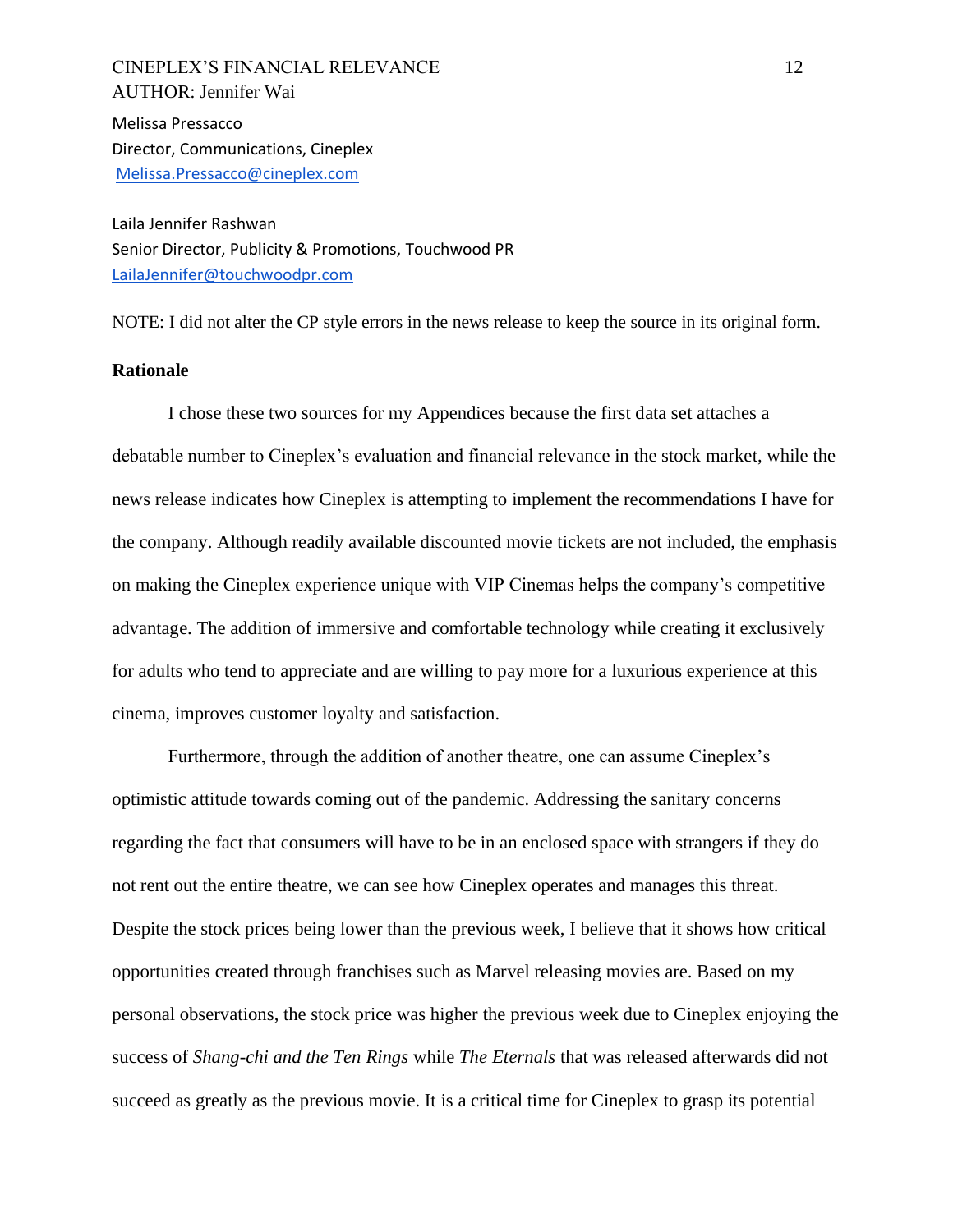CINEPLEX'S FINANCIAL RELEVANCE 12 AUTHOR: Jennifer Wai Melissa Pressacco Director, Communications, Cineplex [Melissa.Pressacco@cineplex.com](mailto:Melissa.Pressacco@cineplex.com)

Laila Jennifer Rashwan Senior Director, Publicity & Promotions, Touchwood PR [LailaJennifer@touchwoodpr.com](mailto:LailaJennifer@touchwoodpr.com)

NOTE: I did not alter the CP style errors in the news release to keep the source in its original form.

#### **Rationale**

I chose these two sources for my Appendices because the first data set attaches a debatable number to Cineplex's evaluation and financial relevance in the stock market, while the news release indicates how Cineplex is attempting to implement the recommendations I have for the company. Although readily available discounted movie tickets are not included, the emphasis on making the Cineplex experience unique with VIP Cinemas helps the company's competitive advantage. The addition of immersive and comfortable technology while creating it exclusively for adults who tend to appreciate and are willing to pay more for a luxurious experience at this cinema, improves customer loyalty and satisfaction.

Furthermore, through the addition of another theatre, one can assume Cineplex's optimistic attitude towards coming out of the pandemic. Addressing the sanitary concerns regarding the fact that consumers will have to be in an enclosed space with strangers if they do not rent out the entire theatre, we can see how Cineplex operates and manages this threat. Despite the stock prices being lower than the previous week, I believe that it shows how critical opportunities created through franchises such as Marvel releasing movies are. Based on my personal observations, the stock price was higher the previous week due to Cineplex enjoying the success of *Shang-chi and the Ten Rings* while *The Eternals* that was released afterwards did not succeed as greatly as the previous movie. It is a critical time for Cineplex to grasp its potential